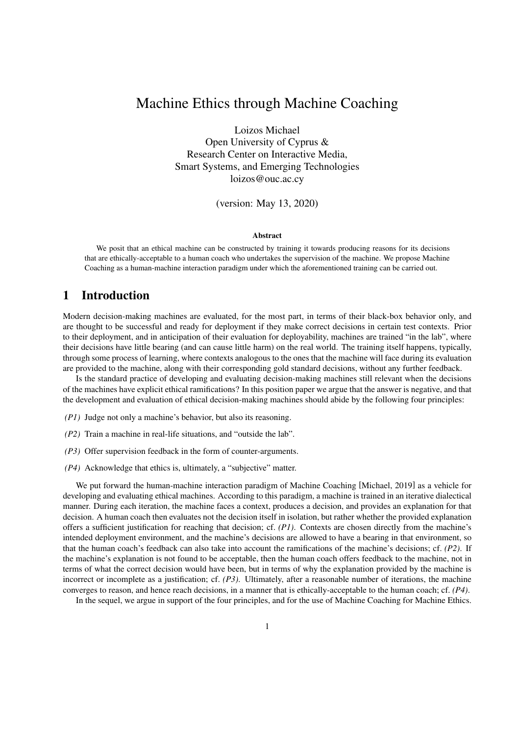# Machine Ethics through Machine Coaching

Loizos Michael Open University of Cyprus & Research Center on Interactive Media, Smart Systems, and Emerging Technologies loizos@ouc.ac.cy

(version: May 13, 2020)

#### Abstract

We posit that an ethical machine can be constructed by training it towards producing reasons for its decisions that are ethically-acceptable to a human coach who undertakes the supervision of the machine. We propose Machine Coaching as a human-machine interaction paradigm under which the aforementioned training can be carried out.

### 1 Introduction

Modern decision-making machines are evaluated, for the most part, in terms of their black-box behavior only, and are thought to be successful and ready for deployment if they make correct decisions in certain test contexts. Prior to their deployment, and in anticipation of their evaluation for deployability, machines are trained "in the lab", where their decisions have little bearing (and can cause little harm) on the real world. The training itself happens, typically, through some process of learning, where contexts analogous to the ones that the machine will face during its evaluation are provided to the machine, along with their corresponding gold standard decisions, without any further feedback.

Is the standard practice of developing and evaluating decision-making machines still relevant when the decisions of the machines have explicit ethical ramifications? In this position paper we argue that the answer is negative, and that the development and evaluation of ethical decision-making machines should abide by the following four principles:

- *(P1)* Judge not only a machine's behavior, but also its reasoning.
- *(P2)* Train a machine in real-life situations, and "outside the lab".
- *(P3)* Offer supervision feedback in the form of counter-arguments.
- *(P4)* Acknowledge that ethics is, ultimately, a "subjective" matter.

We put forward the human-machine interaction paradigm of Machine Coaching [Michael, 2019] as a vehicle for developing and evaluating ethical machines. According to this paradigm, a machine is trained in an iterative dialectical manner. During each iteration, the machine faces a context, produces a decision, and provides an explanation for that decision. A human coach then evaluates not the decision itself in isolation, but rather whether the provided explanation offers a sufficient justification for reaching that decision; cf. *(P1)*. Contexts are chosen directly from the machine's intended deployment environment, and the machine's decisions are allowed to have a bearing in that environment, so that the human coach's feedback can also take into account the ramifications of the machine's decisions; cf. *(P2)*. If the machine's explanation is not found to be acceptable, then the human coach offers feedback to the machine, not in terms of what the correct decision would have been, but in terms of why the explanation provided by the machine is incorrect or incomplete as a justification; cf. *(P3)*. Ultimately, after a reasonable number of iterations, the machine converges to reason, and hence reach decisions, in a manner that is ethically-acceptable to the human coach; cf. *(P4)*.

In the sequel, we argue in support of the four principles, and for the use of Machine Coaching for Machine Ethics.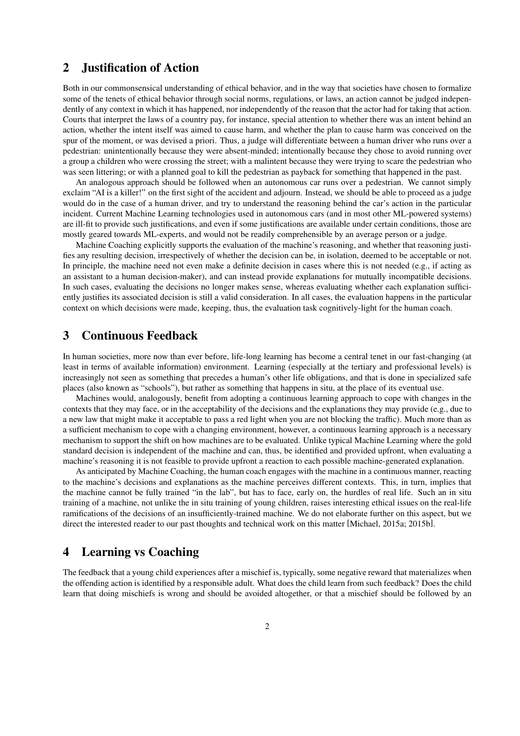# 2 Justification of Action

Both in our commonsensical understanding of ethical behavior, and in the way that societies have chosen to formalize some of the tenets of ethical behavior through social norms, regulations, or laws, an action cannot be judged independently of any context in which it has happened, nor independently of the reason that the actor had for taking that action. Courts that interpret the laws of a country pay, for instance, special attention to whether there was an intent behind an action, whether the intent itself was aimed to cause harm, and whether the plan to cause harm was conceived on the spur of the moment, or was devised a priori. Thus, a judge will differentiate between a human driver who runs over a pedestrian: unintentionally because they were absent-minded; intentionally because they chose to avoid running over a group a children who were crossing the street; with a malintent because they were trying to scare the pedestrian who was seen littering; or with a planned goal to kill the pedestrian as payback for something that happened in the past.

An analogous approach should be followed when an autonomous car runs over a pedestrian. We cannot simply exclaim "AI is a killer!" on the first sight of the accident and adjourn. Instead, we should be able to proceed as a judge would do in the case of a human driver, and try to understand the reasoning behind the car's action in the particular incident. Current Machine Learning technologies used in autonomous cars (and in most other ML-powered systems) are ill-fit to provide such justifications, and even if some justifications are available under certain conditions, those are mostly geared towards ML-experts, and would not be readily comprehensible by an average person or a judge.

Machine Coaching explicitly supports the evaluation of the machine's reasoning, and whether that reasoning justifies any resulting decision, irrespectively of whether the decision can be, in isolation, deemed to be acceptable or not. In principle, the machine need not even make a definite decision in cases where this is not needed (e.g., if acting as an assistant to a human decision-maker), and can instead provide explanations for mutually incompatible decisions. In such cases, evaluating the decisions no longer makes sense, whereas evaluating whether each explanation sufficiently justifies its associated decision is still a valid consideration. In all cases, the evaluation happens in the particular context on which decisions were made, keeping, thus, the evaluation task cognitively-light for the human coach.

### 3 Continuous Feedback

In human societies, more now than ever before, life-long learning has become a central tenet in our fast-changing (at least in terms of available information) environment. Learning (especially at the tertiary and professional levels) is increasingly not seen as something that precedes a human's other life obligations, and that is done in specialized safe places (also known as "schools"), but rather as something that happens in situ, at the place of its eventual use.

Machines would, analogously, benefit from adopting a continuous learning approach to cope with changes in the contexts that they may face, or in the acceptability of the decisions and the explanations they may provide (e.g., due to a new law that might make it acceptable to pass a red light when you are not blocking the traffic). Much more than as a sufficient mechanism to cope with a changing environment, however, a continuous learning approach is a necessary mechanism to support the shift on how machines are to be evaluated. Unlike typical Machine Learning where the gold standard decision is independent of the machine and can, thus, be identified and provided upfront, when evaluating a machine's reasoning it is not feasible to provide upfront a reaction to each possible machine-generated explanation.

As anticipated by Machine Coaching, the human coach engages with the machine in a continuous manner, reacting to the machine's decisions and explanations as the machine perceives different contexts. This, in turn, implies that the machine cannot be fully trained "in the lab", but has to face, early on, the hurdles of real life. Such an in situ training of a machine, not unlike the in situ training of young children, raises interesting ethical issues on the real-life ramifications of the decisions of an insufficiently-trained machine. We do not elaborate further on this aspect, but we direct the interested reader to our past thoughts and technical work on this matter [Michael, 2015a; 2015b].

# 4 Learning vs Coaching

The feedback that a young child experiences after a mischief is, typically, some negative reward that materializes when the offending action is identified by a responsible adult. What does the child learn from such feedback? Does the child learn that doing mischiefs is wrong and should be avoided altogether, or that a mischief should be followed by an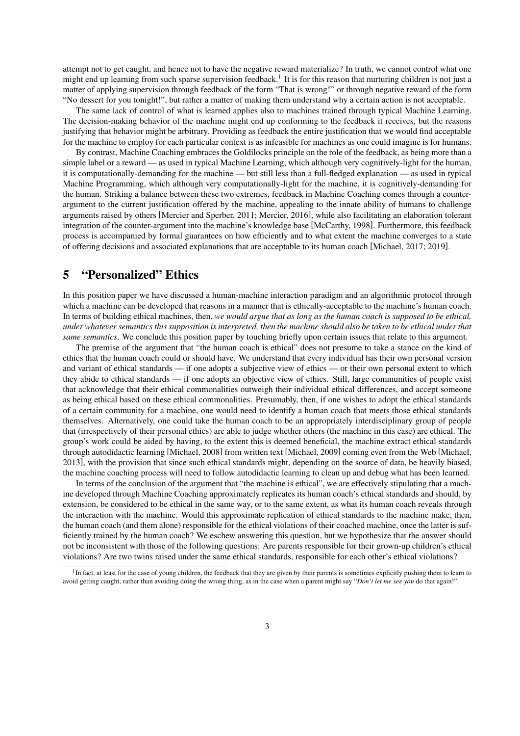attempt not to get caught, and hence not to have the negative reward materialize? In truth, we cannot control what one might end up learning from such sparse supervision feedback.<sup>1</sup> It is for this reason that nurturing children is not just a matter of applying supervision through feedback of the form "That is wrong!" or through negative reward of the form "No dessert for you tonight!", but rather a matter of making them understand why a certain action is not acceptable.

The same lack of control of what is learned applies also to machines trained through typical Machine Learning. The decision-making behavior of the machine might end up conforming to the feedback it receives, but the reasons justifying that behavior might be arbitrary. Providing as feedback the entire justification that we would find acceptable for the machine to employ for each particular context is as infeasible for machines as one could imagine is for humans.

By contrast, Machine Coaching embraces the Goldilocks principle on the role of the feedback, as being more than a simple label or a reward — as used in typical Machine Learning, which although very cognitively-light for the human, it is computationally-demanding for the machine — but still less than a full-fledged explanation — as used in typical Machine Programming, which although very computationally-light for the machine, it is cognitively-demanding for the human. Striking a balance between these two extremes, feedback in Machine Coaching comes through a counterargument to the current justification offered by the machine, appealing to the innate ability of humans to challenge arguments raised by others [Mercier and Sperber, 2011; Mercier, 2016], while also facilitating an elaboration tolerant integration of the counter-argument into the machine's knowledge base [McCarthy, 1998]. Furthermore, this feedback process is accompanied by formal guarantees on how efficiently and to what extent the machine converges to a state of offering decisions and associated explanations that are acceptable to its human coach [Michael, 2017; 2019].

# 5 "Personalized" Ethics

In this position paper we have discussed a human-machine interaction paradigm and an algorithmic protocol through which a machine can be developed that reasons in a manner that is ethically-acceptable to the machine's human coach. In terms of building ethical machines, then, *we would argue that as long as the human coach is supposed to be ethical, under whatever semantics this supposition is interpreted, then the machine should also be taken to be ethical under that same semantics*. We conclude this position paper by touching briefly upon certain issues that relate to this argument.

The premise of the argument that "the human coach is ethical" does not presume to take a stance on the kind of ethics that the human coach could or should have. We understand that every individual has their own personal version and variant of ethical standards — if one adopts a subjective view of ethics — or their own personal extent to which they abide to ethical standards — if one adopts an objective view of ethics. Still, large communities of people exist that acknowledge that their ethical commonalities outweigh their individual ethical differences, and accept someone as being ethical based on these ethical commonalities. Presumably, then, if one wishes to adopt the ethical standards of a certain community for a machine, one would need to identify a human coach that meets those ethical standards themselves. Alternatively, one could take the human coach to be an appropriately interdisciplinary group of people that (irrespectively of their personal ethics) are able to judge whether others (the machine in this case) are ethical. The group's work could be aided by having, to the extent this is deemed beneficial, the machine extract ethical standards through autodidactic learning [Michael, 2008] from written text [Michael, 2009] coming even from the Web [Michael, 2013], with the provision that since such ethical standards might, depending on the source of data, be heavily biased, the machine coaching process will need to follow autodidactic learning to clean up and debug what has been learned.

In terms of the conclusion of the argument that "the machine is ethical", we are effectively stipulating that a machine developed through Machine Coaching approximately replicates its human coach's ethical standards and should, by extension, be considered to be ethical in the same way, or to the same extent, as what its human coach reveals through the interaction with the machine. Would this approximate replication of ethical standards to the machine make, then, the human coach (and them alone) responsible for the ethical violations of their coached machine, once the latter is sufficiently trained by the human coach? We eschew answering this question, but we hypothesize that the answer should not be inconsistent with those of the following questions: Are parents responsible for their grown-up children's ethical violations? Are two twins raised under the same ethical standards, responsible for each other's ethical violations?

<sup>&</sup>lt;sup>1</sup>In fact, at least for the case of young children, the feedback that they are given by their parents is sometimes explicitly pushing them to learn to avoid getting caught, rather than avoiding doing the wrong thing, as in the case when a parent might say "*Don't let me see you* do that again!".